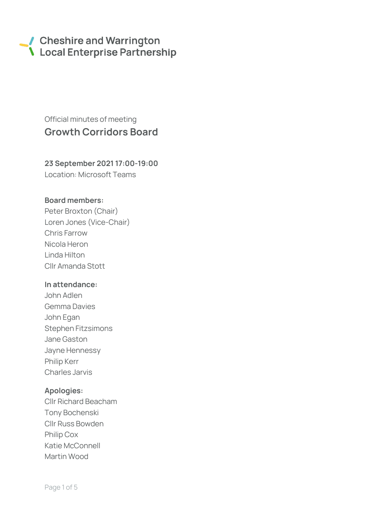# Cheshire and Warrington **\** Local Enterprise Partnership

# Official minutes of meeting Growth Corridors Board

# 23 September 2021 17:00-19:00

Location: Microsoft Teams

### Board members:

Peter Broxton (Chair) Loren Jones (Vice-Chair) Chris Farrow Nicola Heron Linda Hilton Cllr Amanda Stott

#### In attendance:

John Adlen Gemma Davies John Egan Stephen Fitzsimons Jane Gaston Jayne Hennessy Philip Kerr Charles Jarvis

# Apologies:

Cllr Richard Beacham Tony Bochenski Cllr Russ Bowden Philip Cox Katie McConnell Martin Wood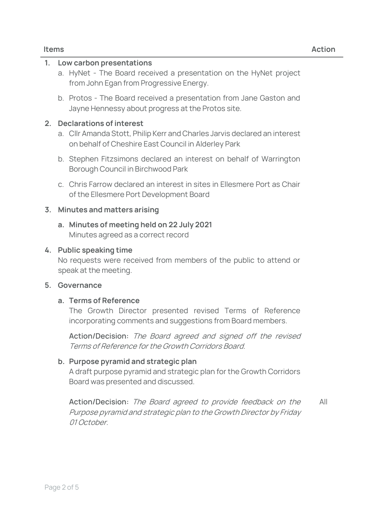# 1. Low carbon presentations

- a. HyNet The Board received a presentation on the HyNet project from John Egan from Progressive Energy.
- b. Protos The Board received a presentation from Jane Gaston and Jayne Hennessy about progress at the Protos site.

#### 2. Declarations of interest

- a. Cllr Amanda Stott, Philip Kerr and Charles Jarvis declared an interest on behalf of Cheshire East Council in Alderley Park
- b. Stephen Fitzsimons declared an interest on behalf of Warrington Borough Council in Birchwood Park
- c. Chris Farrow declared an interest in sites in Ellesmere Port as Chair of the Ellesmere Port Development Board

#### 3. Minutes and matters arising

a. Minutes of meeting held on 22 July 2021 Minutes agreed as a correct record

#### 4. Public speaking time

No requests were received from members of the public to attend or speak at the meeting.

#### 5. Governance

#### a. Terms of Reference

The Growth Director presented revised Terms of Reference incorporating comments and suggestions from Board members.

**Action/Decision:** The Board agreed and signed off the revised Terms of Reference for the Growth Corridors Board.

#### b. Purpose pyramid and strategic plan

A draft purpose pyramid and strategic plan for the Growth Corridors Board was presented and discussed.

**Action/Decision:** The Board agreed to provide feedback on the Purpose pyramid and strategic plan to the Growth Director by Friday 01 October. All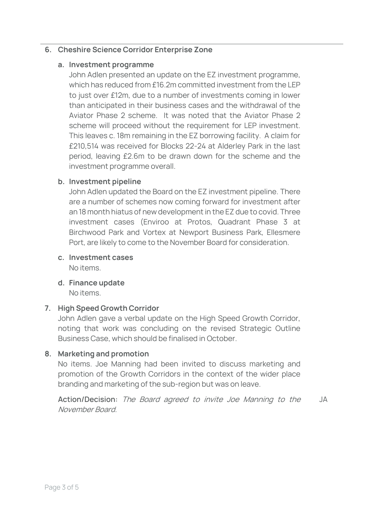# 6. Cheshire Science Corridor Enterprise Zone

# a. Investment programme

John Adlen presented an update on the EZ investment programme, which has reduced from £16.2m committed investment from the LEP to just over £12m, due to a number of investments coming in lower than anticipated in their business cases and the withdrawal of the Aviator Phase 2 scheme. It was noted that the Aviator Phase 2 scheme will proceed without the requirement for LEP investment. This leaves c. 18m remaining in the EZ borrowing facility. A claim for £210,514 was received for Blocks 22-24 at Alderley Park in the last period, leaving £2.6m to be drawn down for the scheme and the investment programme overall.

# b. Investment pipeline

John Adlen updated the Board on the EZ investment pipeline. There are a number of schemes now coming forward for investment after an 18 month hiatus of new development in the EZ due to covid. Three investment cases (Enviroo at Protos, Quadrant Phase 3 at Birchwood Park and Vortex at Newport Business Park, Ellesmere Port, are likely to come to the November Board for consideration.

- c. Investment cases No items.
- d. Finance update

No items.

# 7. High Speed Growth Corridor

John Adlen gave a verbal update on the High Speed Growth Corridor, noting that work was concluding on the revised Strategic Outline Business Case, which should be finalised in October.

# 8. Marketing and promotion

No items. Joe Manning had been invited to discuss marketing and promotion of the Growth Corridors in the context of the wider place branding and marketing of the sub-region but was on leave.

**Action/Decision:** The Board agreed to invite Joe Manning to the November Board. JA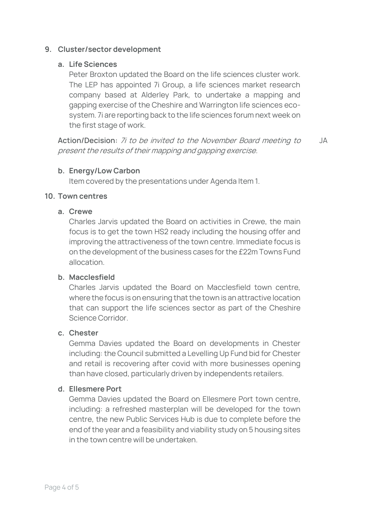# 9. Cluster/sector development

### a. Life Sciences

Peter Broxton updated the Board on the life sciences cluster work. The LEP has appointed 7i Group, a life sciences market research company based at Alderley Park, to undertake a mapping and gapping exercise of the Cheshire and Warrington life sciences ecosystem. 7i are reporting back to the life sciences forum next week on the first stage of work.

**Action/Decision:** 7i to be invited to the November Board meeting to present the results of their mapping and gapping exercise. JA

### b. Energy/Low Carbon

Item covered by the presentations under Agenda Item 1.

#### 10. Town centres

#### a. Crewe

Charles Jarvis updated the Board on activities in Crewe, the main focus is to get the town HS2 ready including the housing offer and improving the attractiveness of the town centre. Immediate focus is on the development of the business cases for the £22m Towns Fund allocation.

#### b. Macclesfield

Charles Jarvis updated the Board on Macclesfield town centre, where the focus is on ensuring that the town is an attractive location that can support the life sciences sector as part of the Cheshire Science Corridor.

#### c. Chester

Gemma Davies updated the Board on developments in Chester including: the Council submitted a Levelling Up Fund bid for Chester and retail is recovering after covid with more businesses opening than have closed, particularly driven by independents retailers.

#### d. Ellesmere Port

Gemma Davies updated the Board on Ellesmere Port town centre, including: a refreshed masterplan will be developed for the town centre, the new Public Services Hub is due to complete before the end of the year and a feasibility and viability study on 5 housing sites in the town centre will be undertaken.